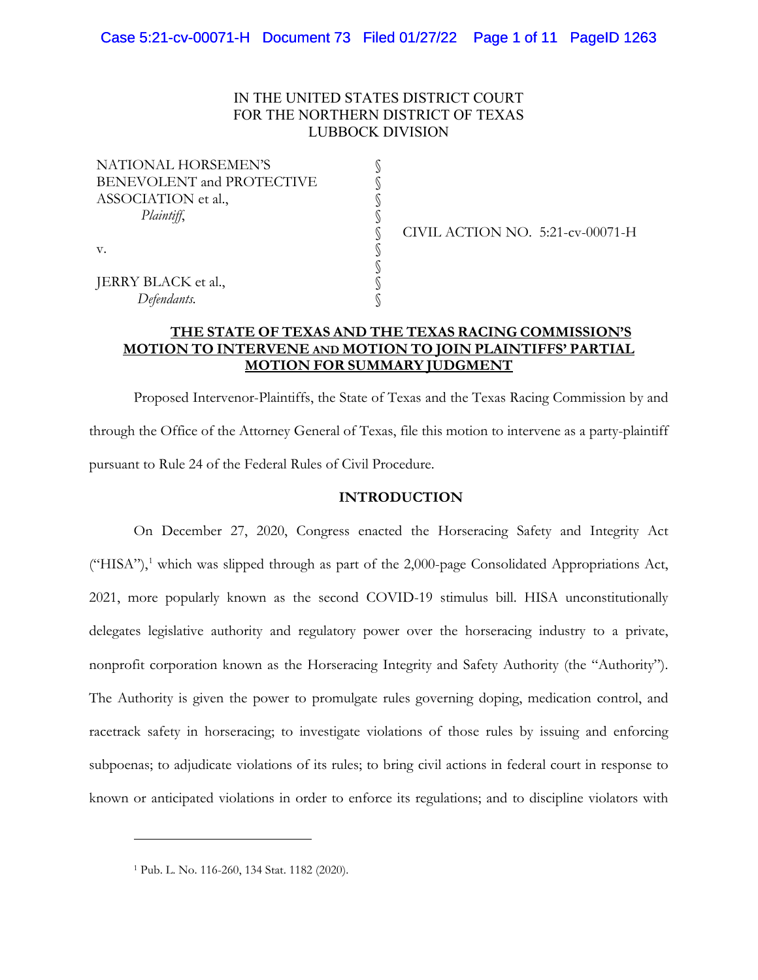# IN THE UNITED STATES DISTRICT COURT FOR THE NORTHERN DISTRICT OF TEXAS LUBBOCK DIVISION

§ § § § § § § § §

| NATIONAL HORSEMEN'S              |  |
|----------------------------------|--|
| <b>BENEVOLENT and PROTECTIVE</b> |  |
| ASSOCIATION et al.,              |  |
| Plaintiff,                       |  |
|                                  |  |
| v.                               |  |
|                                  |  |
| JERRY BLACK et al.,              |  |
| Defendants.                      |  |

CIVIL ACTION NO. 5:21-cv-00071-H

# **THE STATE OF TEXAS AND THE TEXAS RACING COMMISSION'S MOTION TO INTERVENE AND MOTION TO JOIN PLAINTIFFS' PARTIAL MOTION FOR SUMMARY JUDGMENT**

Proposed Intervenor-Plaintiffs, the State of Texas and the Texas Racing Commission by and through the Office of the Attorney General of Texas, file this motion to intervene as a party-plaintiff pursuant to Rule 24 of the Federal Rules of Civil Procedure.

## **INTRODUCTION**

On December 27, 2020, Congress enacted the Horseracing Safety and Integrity Act ("HISA"), [1](#page-0-0) which was slipped through as part of the 2,000-page Consolidated Appropriations Act, 2021, more popularly known as the second COVID-19 stimulus bill. HISA unconstitutionally delegates legislative authority and regulatory power over the horseracing industry to a private, nonprofit corporation known as the Horseracing Integrity and Safety Authority (the "Authority"). The Authority is given the power to promulgate rules governing doping, medication control, and racetrack safety in horseracing; to investigate violations of those rules by issuing and enforcing subpoenas; to adjudicate violations of its rules; to bring civil actions in federal court in response to known or anticipated violations in order to enforce its regulations; and to discipline violators with

<span id="page-0-0"></span><sup>1</sup> Pub. L. No. 116-260, 134 Stat. 1182 (2020).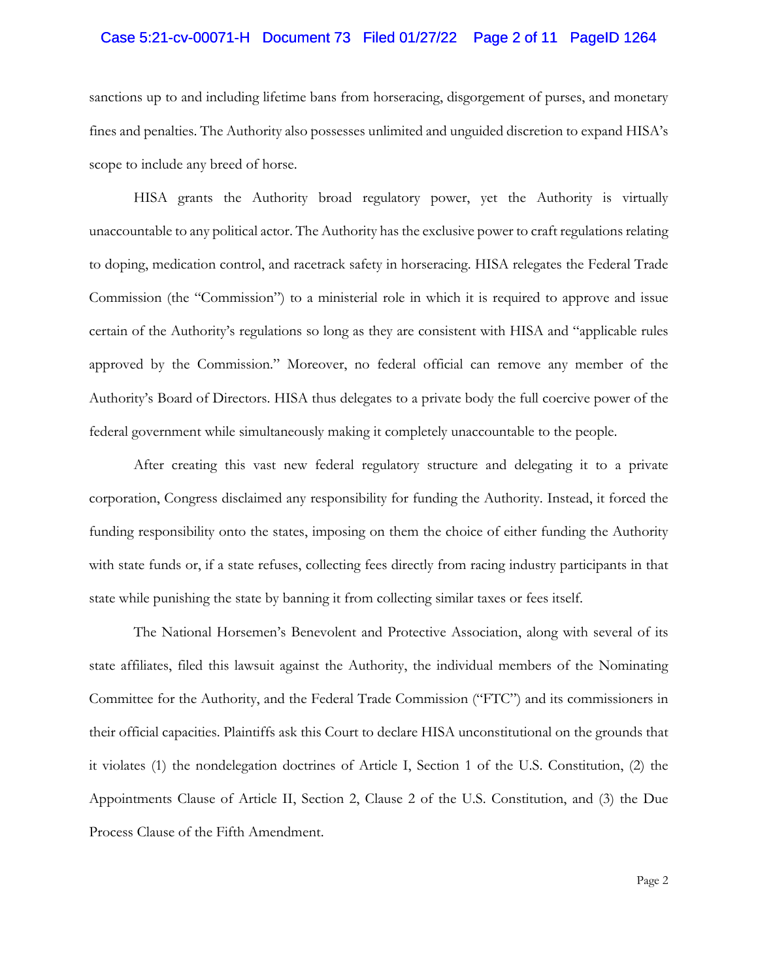#### Case 5:21-cv-00071-H Document 73 Filed 01/27/22 Page 2 of 11 PageID 1264

sanctions up to and including lifetime bans from horseracing, disgorgement of purses, and monetary fines and penalties. The Authority also possesses unlimited and unguided discretion to expand HISA's scope to include any breed of horse.

HISA grants the Authority broad regulatory power, yet the Authority is virtually unaccountable to any political actor. The Authority has the exclusive power to craft regulations relating to doping, medication control, and racetrack safety in horseracing. HISA relegates the Federal Trade Commission (the "Commission") to a ministerial role in which it is required to approve and issue certain of the Authority's regulations so long as they are consistent with HISA and "applicable rules approved by the Commission." Moreover, no federal official can remove any member of the Authority's Board of Directors. HISA thus delegates to a private body the full coercive power of the federal government while simultaneously making it completely unaccountable to the people.

After creating this vast new federal regulatory structure and delegating it to a private corporation, Congress disclaimed any responsibility for funding the Authority. Instead, it forced the funding responsibility onto the states, imposing on them the choice of either funding the Authority with state funds or, if a state refuses, collecting fees directly from racing industry participants in that state while punishing the state by banning it from collecting similar taxes or fees itself.

The National Horsemen's Benevolent and Protective Association, along with several of its state affiliates, filed this lawsuit against the Authority, the individual members of the Nominating Committee for the Authority, and the Federal Trade Commission ("FTC") and its commissioners in their official capacities. Plaintiffs ask this Court to declare HISA unconstitutional on the grounds that it violates (1) the nondelegation doctrines of Article I, Section 1 of the U.S. Constitution, (2) the Appointments Clause of Article II, Section 2, Clause 2 of the U.S. Constitution, and (3) the Due Process Clause of the Fifth Amendment.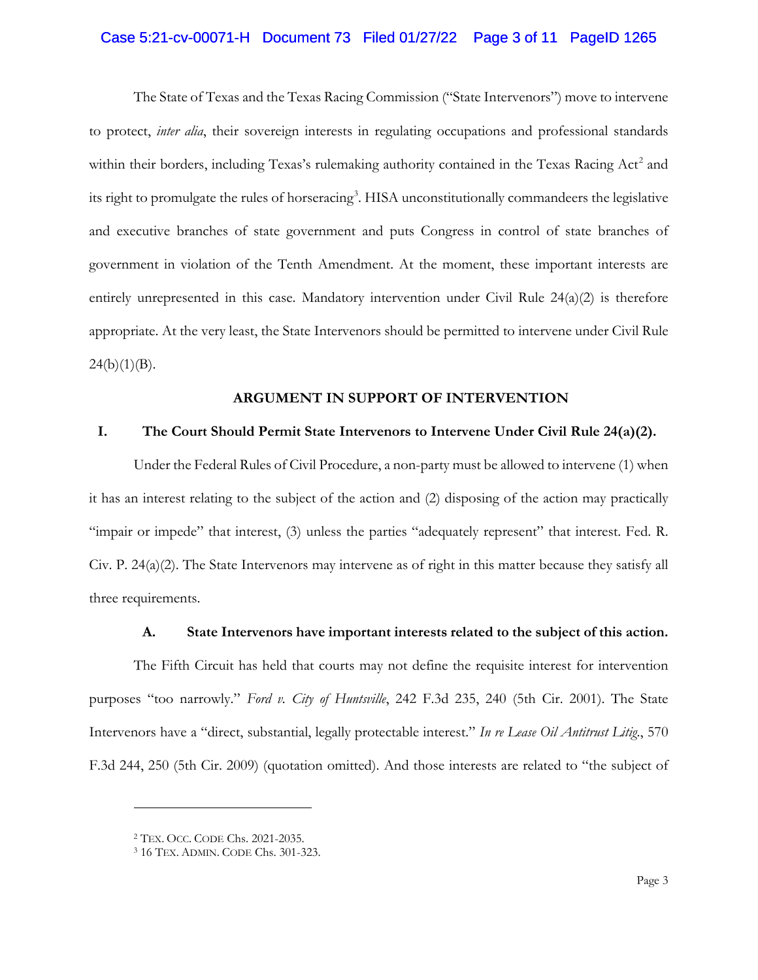# Case 5:21-cv-00071-H Document 73 Filed 01/27/22 Page 3 of 11 PageID 1265

The State of Texas and the Texas Racing Commission ("State Intervenors") move to intervene to protect, *inter alia*, their sovereign interests in regulating occupations and professional standards within their borders, including Texas's rulemaking authority contained in the Texas Racing Act<sup>[2](#page-2-0)</sup> and its right to promulgate the rules of horseracing<sup>[3](#page-2-1)</sup>. HISA unconstitutionally commandeers the legislative and executive branches of state government and puts Congress in control of state branches of government in violation of the Tenth Amendment. At the moment, these important interests are entirely unrepresented in this case. Mandatory intervention under Civil Rule  $24(a)(2)$  is therefore appropriate. At the very least, the State Intervenors should be permitted to intervene under Civil Rule  $24(b)(1)(B)$ .

## **ARGUMENT IN SUPPORT OF INTERVENTION**

# **I. The Court Should Permit State Intervenors to Intervene Under Civil Rule 24(a)(2).**

Under the Federal Rules of Civil Procedure, a non-party must be allowed to intervene (1) when it has an interest relating to the subject of the action and (2) disposing of the action may practically "impair or impede" that interest, (3) unless the parties "adequately represent" that interest. Fed. R. Civ. P.  $24(a)(2)$ . The State Intervenors may intervene as of right in this matter because they satisfy all three requirements.

# **A. State Intervenors have important interests related to the subject of this action.**

The Fifth Circuit has held that courts may not define the requisite interest for intervention purposes "too narrowly." *Ford v. City of Huntsville*, 242 F.3d 235, 240 (5th Cir. 2001). The State Intervenors have a "direct, substantial, legally protectable interest." *In re Lease Oil Antitrust Litig*., 570 F.3d 244, 250 (5th Cir. 2009) (quotation omitted). And those interests are related to "the subject of

<span id="page-2-1"></span><span id="page-2-0"></span><sup>2</sup> TEX. OCC. CODE Chs. 2021-2035.

<sup>3</sup> 16 TEX. ADMIN. CODE Chs. 301-323.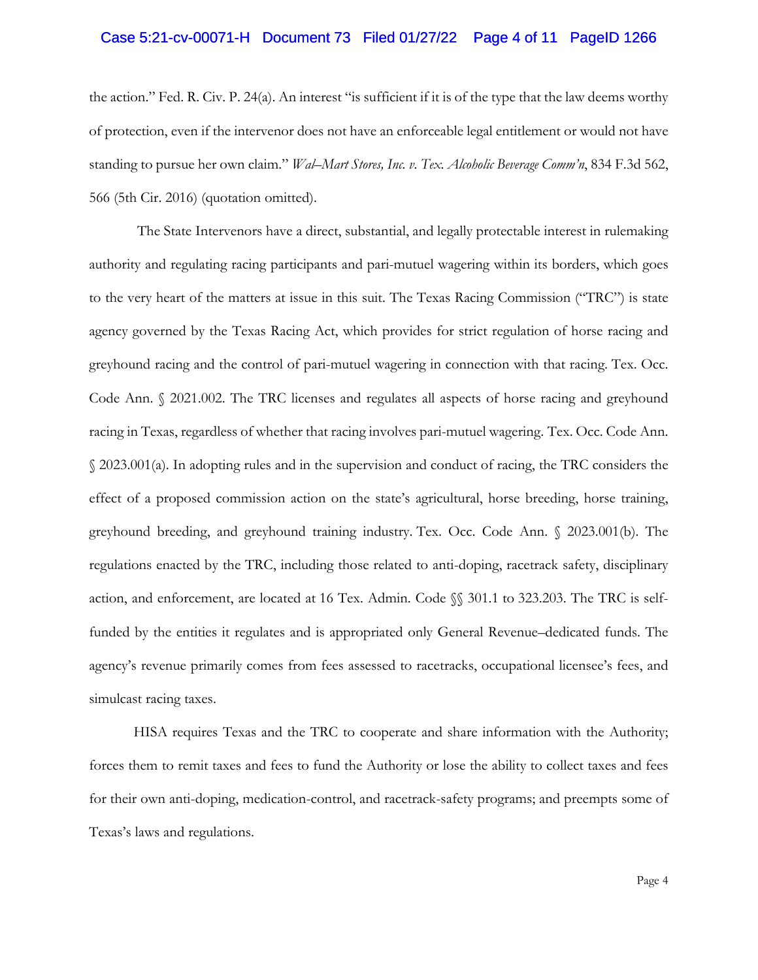## Case 5:21-cv-00071-H Document 73 Filed 01/27/22 Page 4 of 11 PageID 1266

the action." Fed. R. Civ. P. 24(a). An interest "is sufficient if it is of the type that the law deems worthy of protection, even if the intervenor does not have an enforceable legal entitlement or would not have standing to pursue her own claim." *Wal–Mart Stores, Inc. v. Tex. Alcoholic Beverage Comm'n*, 834 F.3d 562, 566 (5th Cir. 2016) (quotation omitted).

The State Intervenors have a direct, substantial, and legally protectable interest in rulemaking authority and regulating racing participants and pari-mutuel wagering within its borders, which goes to the very heart of the matters at issue in this suit. The Texas Racing Commission ("TRC") is state agency governed by the Texas Racing Act, which provides for strict regulation of horse racing and greyhound racing and the control of pari-mutuel wagering in connection with that racing. Tex. Occ. Code Ann. § 2021.002. The TRC licenses and regulates all aspects of horse racing and greyhound racing in Texas, regardless of whether that racing involves pari-mutuel wagering. Tex. Occ. Code Ann. § 2023.001(a). In adopting rules and in the supervision and conduct of racing, the TRC considers the effect of a proposed commission action on the state's agricultural, horse breeding, horse training, greyhound breeding, and greyhound training industry. Tex. Occ. Code Ann. § 2023.001(b). The regulations enacted by the TRC, including those related to anti-doping, racetrack safety, disciplinary action, and enforcement, are located at 16 Tex. Admin. Code §§ 301.1 to 323.203. The TRC is selffunded by the entities it regulates and is appropriated only General Revenue–dedicated funds. The agency's revenue primarily comes from fees assessed to racetracks, occupational licensee's fees, and simulcast racing taxes.

HISA requires Texas and the TRC to cooperate and share information with the Authority; forces them to remit taxes and fees to fund the Authority or lose the ability to collect taxes and fees for their own anti-doping, medication-control, and racetrack-safety programs; and preempts some of Texas's laws and regulations.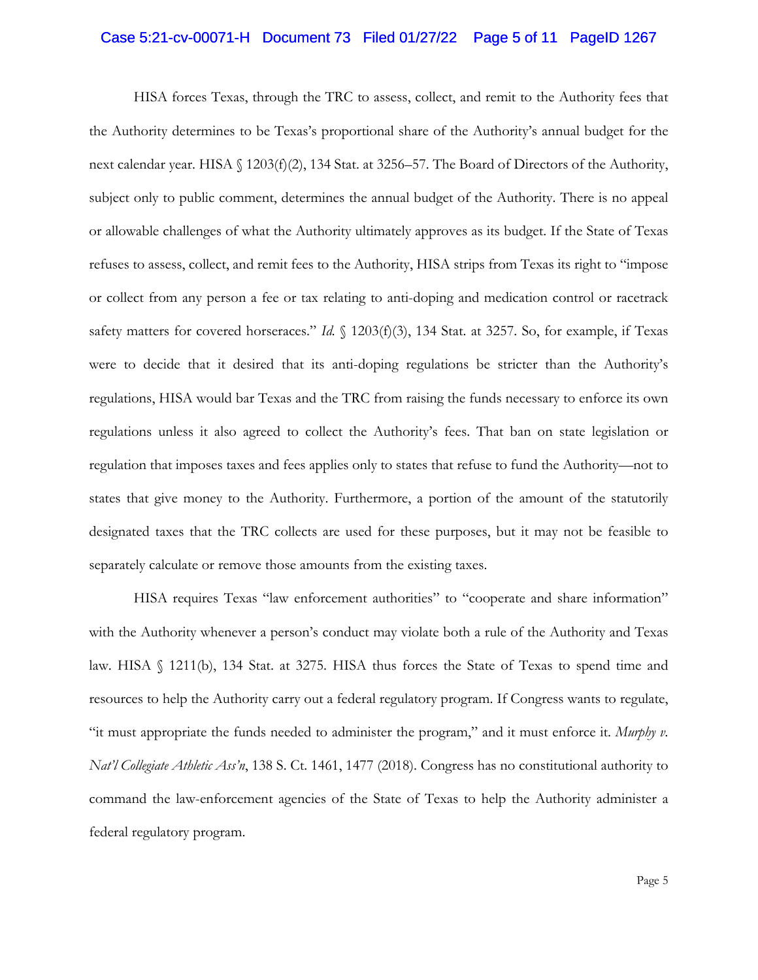#### Case 5:21-cv-00071-H Document 73 Filed 01/27/22 Page 5 of 11 PageID 1267

HISA forces Texas, through the TRC to assess, collect, and remit to the Authority fees that the Authority determines to be Texas's proportional share of the Authority's annual budget for the next calendar year. HISA § 1203(f)(2), 134 Stat. at 3256–57. The Board of Directors of the Authority, subject only to public comment, determines the annual budget of the Authority. There is no appeal or allowable challenges of what the Authority ultimately approves as its budget. If the State of Texas refuses to assess, collect, and remit fees to the Authority, HISA strips from Texas its right to "impose or collect from any person a fee or tax relating to anti-doping and medication control or racetrack safety matters for covered horseraces." *Id.* § 1203(f)(3), 134 Stat. at 3257. So, for example, if Texas were to decide that it desired that its anti-doping regulations be stricter than the Authority's regulations, HISA would bar Texas and the TRC from raising the funds necessary to enforce its own regulations unless it also agreed to collect the Authority's fees. That ban on state legislation or regulation that imposes taxes and fees applies only to states that refuse to fund the Authority—not to states that give money to the Authority. Furthermore, a portion of the amount of the statutorily designated taxes that the TRC collects are used for these purposes, but it may not be feasible to separately calculate or remove those amounts from the existing taxes.

HISA requires Texas "law enforcement authorities" to "cooperate and share information" with the Authority whenever a person's conduct may violate both a rule of the Authority and Texas law. HISA § 1211(b), 134 Stat. at 3275. HISA thus forces the State of Texas to spend time and resources to help the Authority carry out a federal regulatory program. If Congress wants to regulate, "it must appropriate the funds needed to administer the program," and it must enforce it. *Murphy v. Nat'l Collegiate Athletic Ass'n*, 138 S. Ct. 1461, 1477 (2018). Congress has no constitutional authority to command the law-enforcement agencies of the State of Texas to help the Authority administer a federal regulatory program.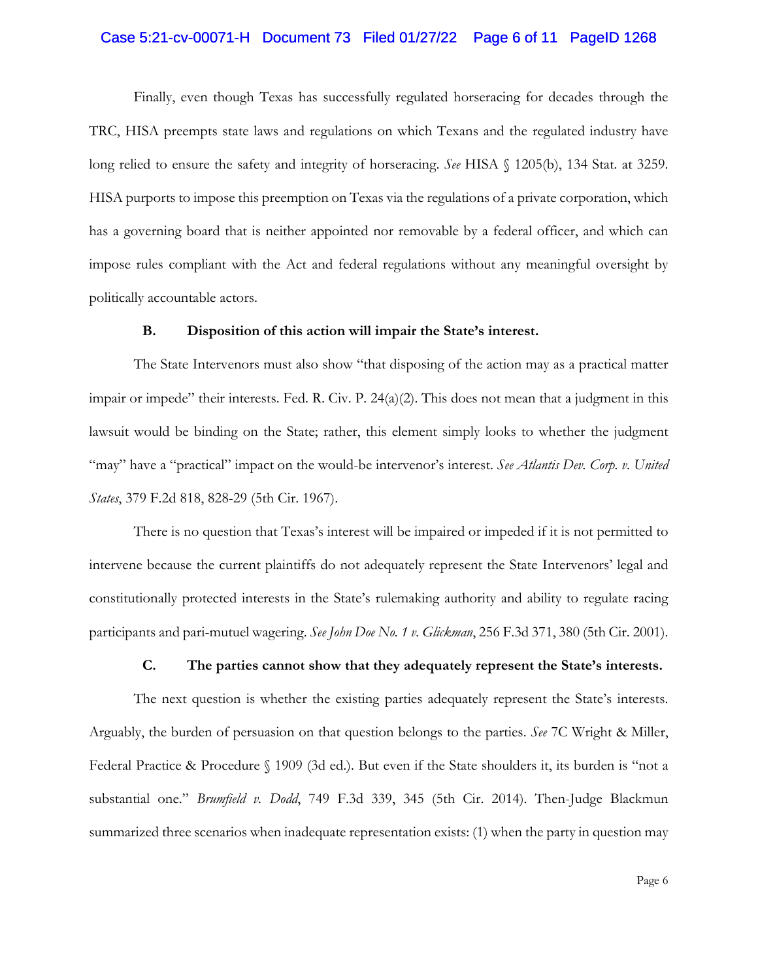#### Case 5:21-cv-00071-H Document 73 Filed 01/27/22 Page 6 of 11 PageID 1268

Finally, even though Texas has successfully regulated horseracing for decades through the TRC, HISA preempts state laws and regulations on which Texans and the regulated industry have long relied to ensure the safety and integrity of horseracing. *See* HISA § 1205(b), 134 Stat. at 3259. HISA purports to impose this preemption on Texas via the regulations of a private corporation, which has a governing board that is neither appointed nor removable by a federal officer, and which can impose rules compliant with the Act and federal regulations without any meaningful oversight by politically accountable actors.

#### **B. Disposition of this action will impair the State's interest.**

The State Intervenors must also show "that disposing of the action may as a practical matter impair or impede" their interests. Fed. R. Civ. P. 24(a)(2). This does not mean that a judgment in this lawsuit would be binding on the State; rather, this element simply looks to whether the judgment "may" have a "practical" impact on the would-be intervenor's interest. *See Atlantis Dev. Corp. v. United States*, 379 F.2d 818, 828-29 (5th Cir. 1967).

There is no question that Texas's interest will be impaired or impeded if it is not permitted to intervene because the current plaintiffs do not adequately represent the State Intervenors' legal and constitutionally protected interests in the State's rulemaking authority and ability to regulate racing participants and pari-mutuel wagering. *See John Doe No. 1 v. Glickman*, 256 F.3d 371, 380 (5th Cir. 2001).

## **C. The parties cannot show that they adequately represent the State's interests.**

The next question is whether the existing parties adequately represent the State's interests. Arguably, the burden of persuasion on that question belongs to the parties. *See* 7C Wright & Miller, Federal Practice & Procedure § 1909 (3d ed.). But even if the State shoulders it, its burden is "not a substantial one." *Brumfield v. Dodd*, 749 F.3d 339, 345 (5th Cir. 2014). Then-Judge Blackmun summarized three scenarios when inadequate representation exists: (1) when the party in question may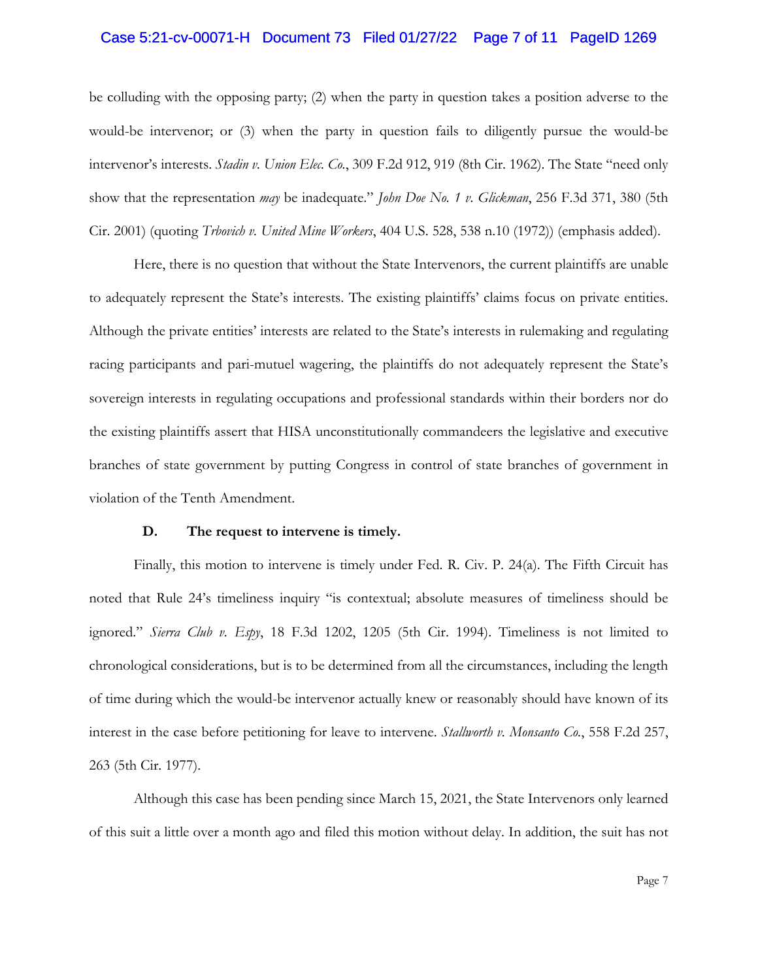#### Case 5:21-cv-00071-H Document 73 Filed 01/27/22 Page 7 of 11 PageID 1269

be colluding with the opposing party; (2) when the party in question takes a position adverse to the would-be intervenor; or (3) when the party in question fails to diligently pursue the would-be intervenor's interests. *Stadin v. Union Elec. Co.*, 309 F.2d 912, 919 (8th Cir. 1962). The State "need only show that the representation *may* be inadequate." *John Doe No. 1 v. Glickman*, 256 F.3d 371, 380 (5th Cir. 2001) (quoting *Trbovich v. United Mine Workers*, 404 U.S. 528, 538 n.10 (1972)) (emphasis added).

Here, there is no question that without the State Intervenors, the current plaintiffs are unable to adequately represent the State's interests. The existing plaintiffs' claims focus on private entities. Although the private entities' interests are related to the State's interests in rulemaking and regulating racing participants and pari-mutuel wagering, the plaintiffs do not adequately represent the State's sovereign interests in regulating occupations and professional standards within their borders nor do the existing plaintiffs assert that HISA unconstitutionally commandeers the legislative and executive branches of state government by putting Congress in control of state branches of government in violation of the Tenth Amendment.

#### **D. The request to intervene is timely.**

Finally, this motion to intervene is timely under Fed. R. Civ. P. 24(a). The Fifth Circuit has noted that Rule 24's timeliness inquiry "is contextual; absolute measures of timeliness should be ignored." *Sierra Club v. Espy*, 18 F.3d 1202, 1205 (5th Cir. 1994). Timeliness is not limited to chronological considerations, but is to be determined from all the circumstances, including the length of time during which the would-be intervenor actually knew or reasonably should have known of its interest in the case before petitioning for leave to intervene. *Stallworth v. Monsanto Co.*, 558 F.2d 257, 263 (5th Cir. 1977).

Although this case has been pending since March 15, 2021, the State Intervenors only learned of this suit a little over a month ago and filed this motion without delay. In addition, the suit has not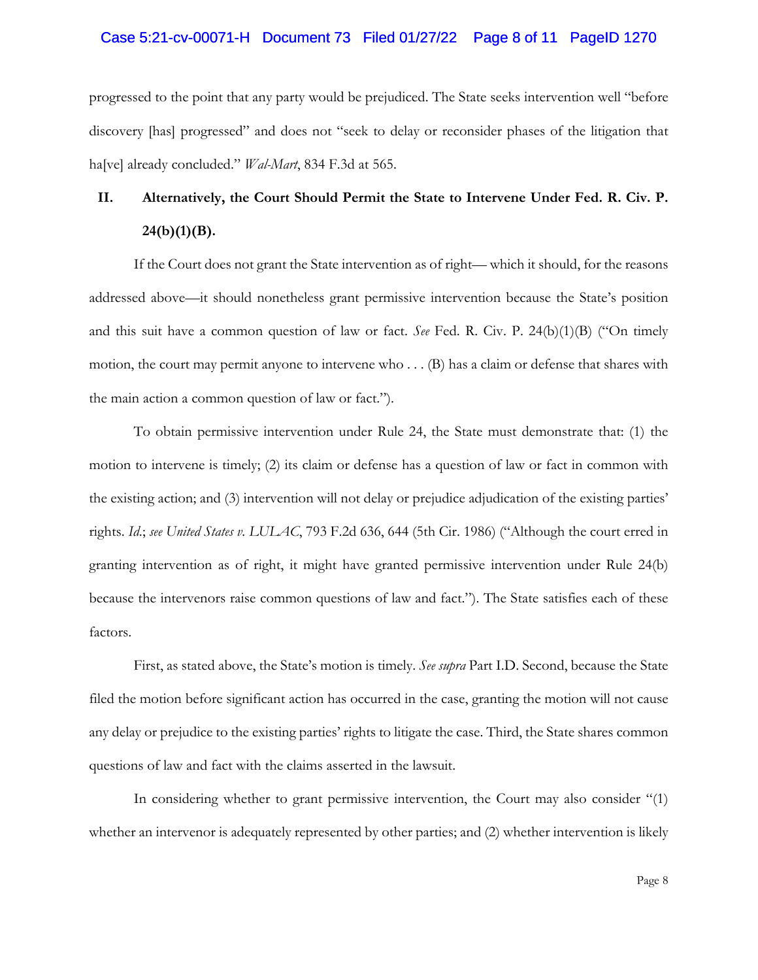#### Case 5:21-cv-00071-H Document 73 Filed 01/27/22 Page 8 of 11 PageID 1270

progressed to the point that any party would be prejudiced. The State seeks intervention well "before discovery [has] progressed" and does not "seek to delay or reconsider phases of the litigation that ha[ve] already concluded." *Wal-Mart*, 834 F.3d at 565.

# **II. Alternatively, the Court Should Permit the State to Intervene Under Fed. R. Civ. P. 24(b)(1)(B).**

If the Court does not grant the State intervention as of right— which it should, for the reasons addressed above—it should nonetheless grant permissive intervention because the State's position and this suit have a common question of law or fact. *See* Fed. R. Civ. P. 24(b)(1)(B) ("On timely motion, the court may permit anyone to intervene who . . . (B) has a claim or defense that shares with the main action a common question of law or fact.").

To obtain permissive intervention under Rule 24, the State must demonstrate that: (1) the motion to intervene is timely; (2) its claim or defense has a question of law or fact in common with the existing action; and (3) intervention will not delay or prejudice adjudication of the existing parties' rights. *Id*.; *see United States v. LULAC*, 793 F.2d 636, 644 (5th Cir. 1986) ("Although the court erred in granting intervention as of right, it might have granted permissive intervention under Rule 24(b) because the intervenors raise common questions of law and fact."). The State satisfies each of these factors.

First, as stated above, the State's motion is timely. *See supra* Part I.D. Second, because the State filed the motion before significant action has occurred in the case, granting the motion will not cause any delay or prejudice to the existing parties' rights to litigate the case. Third, the State shares common questions of law and fact with the claims asserted in the lawsuit.

In considering whether to grant permissive intervention, the Court may also consider "(1) whether an intervenor is adequately represented by other parties; and (2) whether intervention is likely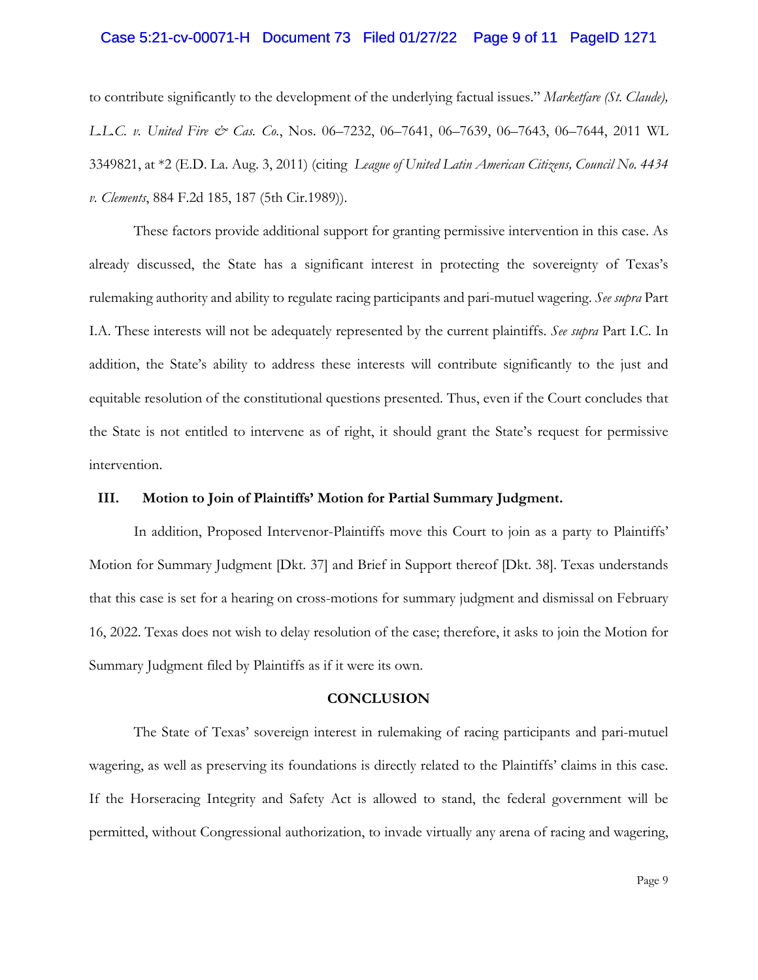#### Case 5:21-cv-00071-H Document 73 Filed 01/27/22 Page 9 of 11 PageID 1271

to contribute significantly to the development of the underlying factual issues." *Marketfare (St. Claude), L.L.C. v. United Fire & Cas. Co.*, Nos. 06–7232, 06–7641, 06–7639, 06–7643, 06–7644, 2011 WL 3349821, at \*2 (E.D. La. Aug. 3, 2011) (citing *League of United Latin American Citizens, Council No. 4434 v. Clements*, 884 F.2d 185, 187 (5th Cir.1989)).

These factors provide additional support for granting permissive intervention in this case. As already discussed, the State has a significant interest in protecting the sovereignty of Texas's rulemaking authority and ability to regulate racing participants and pari-mutuel wagering. *See supra* Part I.A. These interests will not be adequately represented by the current plaintiffs. *See supra* Part I.C. In addition, the State's ability to address these interests will contribute significantly to the just and equitable resolution of the constitutional questions presented. Thus, even if the Court concludes that the State is not entitled to intervene as of right, it should grant the State's request for permissive intervention.

## **III. Motion to Join of Plaintiffs' Motion for Partial Summary Judgment.**

In addition, Proposed Intervenor-Plaintiffs move this Court to join as a party to Plaintiffs' Motion for Summary Judgment [Dkt. 37] and Brief in Support thereof [Dkt. 38]. Texas understands that this case is set for a hearing on cross-motions for summary judgment and dismissal on February 16, 2022. Texas does not wish to delay resolution of the case; therefore, it asks to join the Motion for Summary Judgment filed by Plaintiffs as if it were its own.

#### **CONCLUSION**

The State of Texas' sovereign interest in rulemaking of racing participants and pari-mutuel wagering, as well as preserving its foundations is directly related to the Plaintiffs' claims in this case. If the Horseracing Integrity and Safety Act is allowed to stand, the federal government will be permitted, without Congressional authorization, to invade virtually any arena of racing and wagering,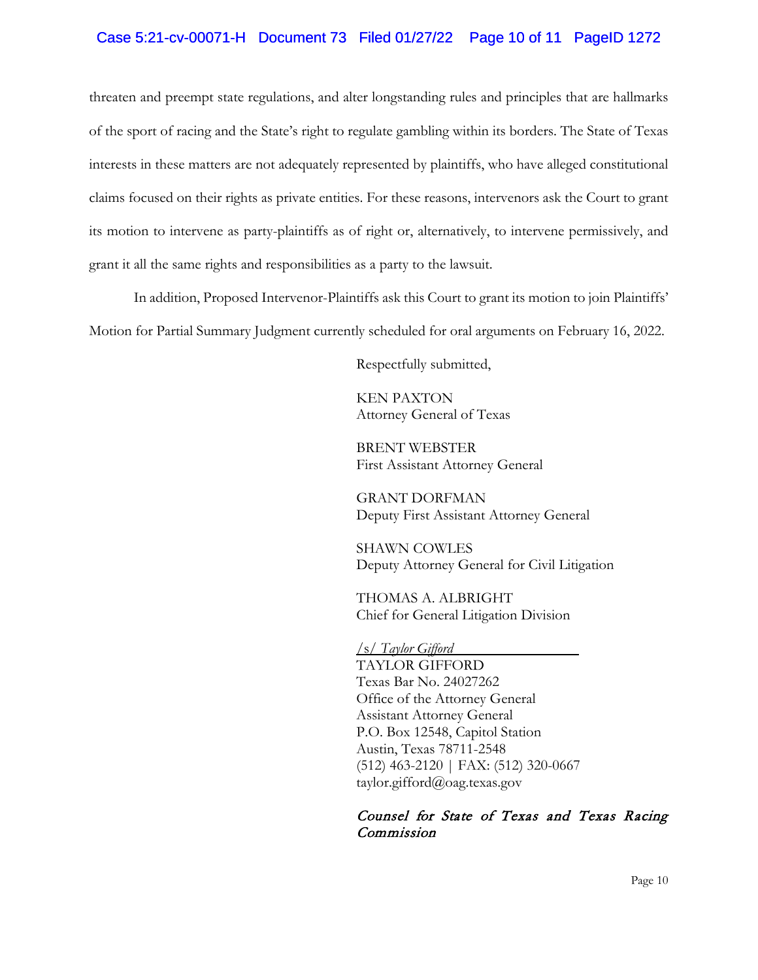# Case 5:21-cv-00071-H Document 73 Filed 01/27/22 Page 10 of 11 PageID 1272

threaten and preempt state regulations, and alter longstanding rules and principles that are hallmarks of the sport of racing and the State's right to regulate gambling within its borders. The State of Texas interests in these matters are not adequately represented by plaintiffs, who have alleged constitutional claims focused on their rights as private entities. For these reasons, intervenors ask the Court to grant its motion to intervene as party-plaintiffs as of right or, alternatively, to intervene permissively, and grant it all the same rights and responsibilities as a party to the lawsuit.

In addition, Proposed Intervenor-Plaintiffs ask this Court to grant its motion to join Plaintiffs' Motion for Partial Summary Judgment currently scheduled for oral arguments on February 16, 2022.

Respectfully submitted,

KEN PAXTON Attorney General of Texas

BRENT WEBSTER First Assistant Attorney General

GRANT DORFMAN Deputy First Assistant Attorney General

SHAWN COWLES Deputy Attorney General for Civil Litigation

THOMAS A. ALBRIGHT Chief for General Litigation Division

/s/ *Taylor Gifford*

TAYLOR GIFFORD Texas Bar No. 24027262 Office of the Attorney General Assistant Attorney General P.O. Box 12548, Capitol Station Austin, Texas 78711-2548 (512) 463-2120 | FAX: (512) 320-0667 taylor.gifford@oag.texas.gov

# Counsel for State of Texas and Texas Racing Commission